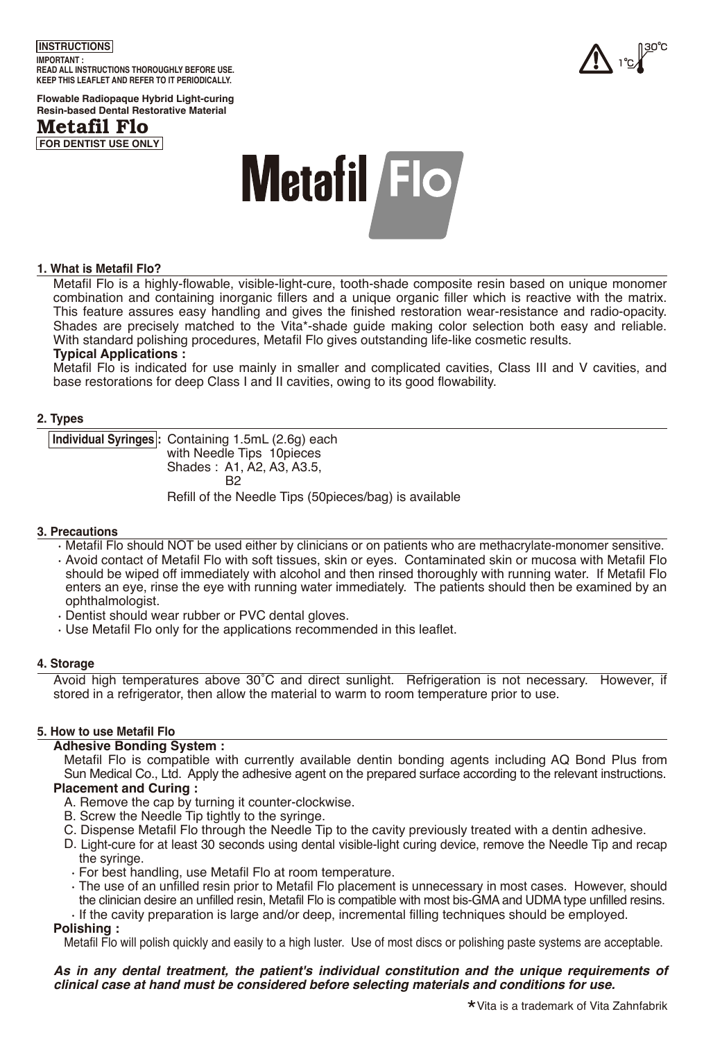## **INSTRUCTIONS IMPORTANT : READ ALL INSTRUCTIONS THOROUGHLY BEFORE USE. KEEP THIS LEAFLET AND REFER TO IT PERIODICALLY.**



**Flowable Radiopaque Hybrid Light-curing Resin-based Dental Restorative Material**





# **1. What is Metafil Flo?**

Metafil Flo is a highly-flowable, visible-light-cure, tooth-shade composite resin based on unique monomer combination and containing inorganic fillers and a unique organic filler which is reactive with the matrix. This feature assures easy handling and gives the finished restoration wear-resistance and radio-opacity. Shades are precisely matched to the Vita\*-shade guide making color selection both easy and reliable. With standard polishing procedures, Metafil Flo gives outstanding life-like cosmetic results.

#### **Typical Applications :**

Metafil Flo is indicated for use mainly in smaller and complicated cavities, Class III and V cavities, and base restorations for deep Class I and II cavities, owing to its good flowability.

#### **2. Types**

**Individual Syringes :** Containing 1.5mL (2.6g) each with Needle Tips 10pieces Shades : A1, A2, A3, A3.5, R<sub>2</sub> Refill of the Needle Tips (50pieces/bag) is available

#### **3. Precautions**

• Metafil Flo should NOT be used either by clinicians or on patients who are methacrylate-monomer sensitive.

- Avoid contact of Metafil Flo with soft tissues, skin or eyes. Contaminated skin or mucosa with Metafil Flo should be wiped off immediately with alcohol and then rinsed thoroughly with running water. If Metafil Flo enters an eye, rinse the eye with running water immediately. The patients should then be examined by an ophthalmologist.
- Dentist should wear rubber or PVC dental gloves.
- Use Metafil Flo only for the applications recommended in this leaflet.

#### **4. Storage**

Avoid high temperatures above 30˚C and direct sunlight. Refrigeration is not necessary. However, if stored in a refrigerator, then allow the material to warm to room temperature prior to use.

#### **5. How to use Metafil Flo**

#### **Adhesive Bonding System :**

Metafil Flo is compatible with currently available dentin bonding agents including AQ Bond Plus from Sun Medical Co., Ltd. Apply the adhesive agent on the prepared surface according to the relevant instructions. **Placement and Curing :**

- A. Remove the cap by turning it counter-clockwise.
- B. Screw the Needle Tip tightly to the syringe.
- C. Dispense Metafil Flo through the Needle Tip to the cavity previously treated with a dentin adhesive.
- D. Light-cure for at least 30 seconds using dental visible-light curing device, remove the Needle Tip and recap the syringe.
	- For best handling, use Metafil Flo at room temperature.
	- The use of an unfilled resin prior to Metafil Flo placement is unnecessary in most cases. However, should the clinician desire an unfilled resin, Metafil Flo is compatible with most bis-GMA and UDMA type unfilled resins. • If the cavity preparation is large and/or deep, incremental filling techniques should be employed.

### **Polishing :**

Metafil Flo will polish quickly and easily to a high luster. Use of most discs or polishing paste systems are acceptable.

*As in any dental treatment, the patient's individual constitution and the unique requirements of clinical case at hand must be considered before selecting materials and conditions for use.*